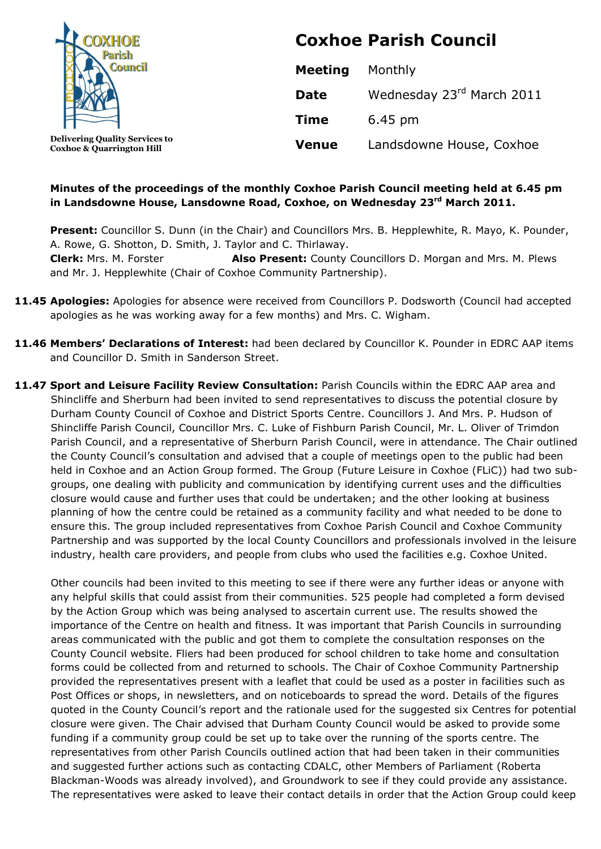

**Coxhoe & Quarrington Hill**

**Coxhoe Parish Council**

| <b>Meeting</b> | Monthly                   |
|----------------|---------------------------|
| <b>Date</b>    | Wednesday 23rd March 2011 |
| <b>Time</b>    | 6.45 pm                   |
| <b>Venue</b>   | Landsdowne House, Coxhoe  |

# **Minutes of the proceedings of the monthly Coxhoe Parish Council meeting held at 6.45 pm in Landsdowne House, Lansdowne Road, Coxhoe, on Wednesday 23 rd March 2011.**

Present: Councillor S. Dunn (in the Chair) and Councillors Mrs. B. Hepplewhite, R. Mayo, K. Pounder, A. Rowe, G. Shotton, D. Smith, J. Taylor and C. Thirlaway. **Clerk:** Mrs. M. Forster **Also Present:** County Councillors D. Morgan and Mrs. M. Plews and Mr. J. Hepplewhite (Chair of Coxhoe Community Partnership).

- **11.45 Apologies:** Apologies for absence were received from Councillors P. Dodsworth (Council had accepted apologies as he was working away for a few months) and Mrs. C. Wigham.
- **11.46 Members' Declarations of Interest:** had been declared by Councillor K. Pounder in EDRC AAP items and Councillor D. Smith in Sanderson Street.
- **11.47 Sport and Leisure Facility Review Consultation:** Parish Councils within the EDRC AAP area and Shincliffe and Sherburn had been invited to send representatives to discuss the potential closure by Durham County Council of Coxhoe and District Sports Centre. Councillors J. And Mrs. P. Hudson of Shincliffe Parish Council, Councillor Mrs. C. Luke of Fishburn Parish Council, Mr. L. Oliver of Trimdon Parish Council, and a representative of Sherburn Parish Council, were in attendance. The Chair outlined the County Council's consultation and advised that a couple of meetings open to the public had been held in Coxhoe and an Action Group formed. The Group (Future Leisure in Coxhoe (FLiC)) had two subgroups, one dealing with publicity and communication by identifying current uses and the difficulties closure would cause and further uses that could be undertaken; and the other looking at business planning of how the centre could be retained as a community facility and what needed to be done to ensure this. The group included representatives from Coxhoe Parish Council and Coxhoe Community Partnership and was supported by the local County Councillors and professionals involved in the leisure industry, health care providers, and people from clubs who used the facilities e.g. Coxhoe United.

Other councils had been invited to this meeting to see if there were any further ideas or anyone with any helpful skills that could assist from their communities. 525 people had completed a form devised by the Action Group which was being analysed to ascertain current use. The results showed the importance of the Centre on health and fitness. It was important that Parish Councils in surrounding areas communicated with the public and got them to complete the consultation responses on the County Council website. Fliers had been produced for school children to take home and consultation forms could be collected from and returned to schools. The Chair of Coxhoe Community Partnership provided the representatives present with a leaflet that could be used as a poster in facilities such as Post Offices or shops, in newsletters, and on noticeboards to spread the word. Details of the figures quoted in the County Council's report and the rationale used for the suggested six Centres for potential closure were given. The Chair advised that Durham County Council would be asked to provide some funding if a community group could be set up to take over the running of the sports centre. The representatives from other Parish Councils outlined action that had been taken in their communities and suggested further actions such as contacting CDALC, other Members of Parliament (Roberta Blackman-Woods was already involved), and Groundwork to see if they could provide any assistance. The representatives were asked to leave their contact details in order that the Action Group could keep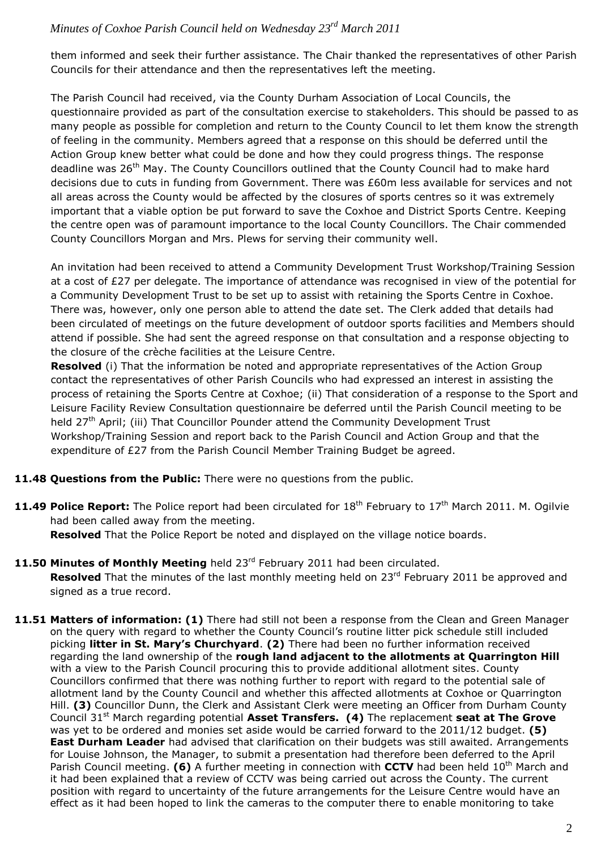them informed and seek their further assistance. The Chair thanked the representatives of other Parish Councils for their attendance and then the representatives left the meeting.

The Parish Council had received, via the County Durham Association of Local Councils, the questionnaire provided as part of the consultation exercise to stakeholders. This should be passed to as many people as possible for completion and return to the County Council to let them know the strength of feeling in the community. Members agreed that a response on this should be deferred until the Action Group knew better what could be done and how they could progress things. The response deadline was 26<sup>th</sup> May. The County Councillors outlined that the County Council had to make hard decisions due to cuts in funding from Government. There was £60m less available for services and not all areas across the County would be affected by the closures of sports centres so it was extremely important that a viable option be put forward to save the Coxhoe and District Sports Centre. Keeping the centre open was of paramount importance to the local County Councillors. The Chair commended County Councillors Morgan and Mrs. Plews for serving their community well.

An invitation had been received to attend a Community Development Trust Workshop/Training Session at a cost of £27 per delegate. The importance of attendance was recognised in view of the potential for a Community Development Trust to be set up to assist with retaining the Sports Centre in Coxhoe. There was, however, only one person able to attend the date set. The Clerk added that details had been circulated of meetings on the future development of outdoor sports facilities and Members should attend if possible. She had sent the agreed response on that consultation and a response objecting to the closure of the crèche facilities at the Leisure Centre.

**Resolved** (i) That the information be noted and appropriate representatives of the Action Group contact the representatives of other Parish Councils who had expressed an interest in assisting the process of retaining the Sports Centre at Coxhoe; (ii) That consideration of a response to the Sport and Leisure Facility Review Consultation questionnaire be deferred until the Parish Council meeting to be held 27<sup>th</sup> April; (iii) That Councillor Pounder attend the Community Development Trust Workshop/Training Session and report back to the Parish Council and Action Group and that the expenditure of £27 from the Parish Council Member Training Budget be agreed.

- **11.48 Questions from the Public:** There were no questions from the public.
- **11.49 Police Report:** The Police report had been circulated for 18<sup>th</sup> February to 17<sup>th</sup> March 2011. M. Ogilvie had been called away from the meeting.

**Resolved** That the Police Report be noted and displayed on the village notice boards.

- 11.50 Minutes of Monthly Meeting held 23<sup>rd</sup> February 2011 had been circulated. Resolved That the minutes of the last monthly meeting held on 23<sup>rd</sup> February 2011 be approved and signed as a true record.
- **11.51 Matters of information: (1)** There had still not been a response from the Clean and Green Manager on the query with regard to whether the County Council's routine litter pick schedule still included picking **litter in St. Mary's Churchyard**. **(2)** There had been no further information received regarding the land ownership of the **rough land adjacent to the allotments at Quarrington Hill** with a view to the Parish Council procuring this to provide additional allotment sites. County Councillors confirmed that there was nothing further to report with regard to the potential sale of allotment land by the County Council and whether this affected allotments at Coxhoe or Quarrington Hill. **(3)** Councillor Dunn, the Clerk and Assistant Clerk were meeting an Officer from Durham County Council 31st March regarding potential **Asset Transfers. (4)** The replacement **seat at The Grove**  was yet to be ordered and monies set aside would be carried forward to the 2011/12 budget. **(5) East Durham Leader** had advised that clarification on their budgets was still awaited. Arrangements for Louise Johnson, the Manager, to submit a presentation had therefore been deferred to the April Parish Council meeting. **(6)** A further meeting in connection with **CCTV** had been held 10<sup>th</sup> March and it had been explained that a review of CCTV was being carried out across the County. The current position with regard to uncertainty of the future arrangements for the Leisure Centre would have an effect as it had been hoped to link the cameras to the computer there to enable monitoring to take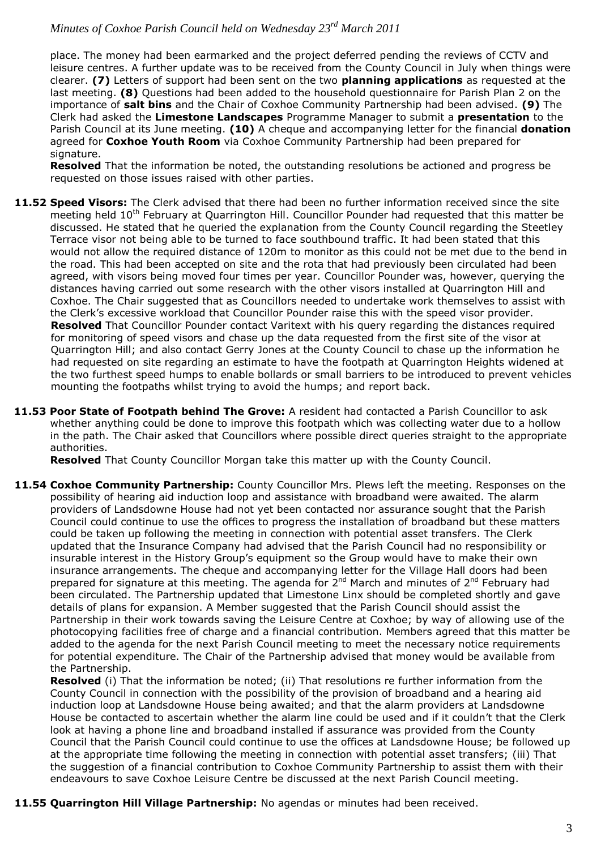place. The money had been earmarked and the project deferred pending the reviews of CCTV and leisure centres. A further update was to be received from the County Council in July when things were clearer. **(7)** Letters of support had been sent on the two **planning applications** as requested at the last meeting. **(8)** Questions had been added to the household questionnaire for Parish Plan 2 on the importance of **salt bins** and the Chair of Coxhoe Community Partnership had been advised. **(9)** The Clerk had asked the **Limestone Landscapes** Programme Manager to submit a **presentation** to the Parish Council at its June meeting. **(10)** A cheque and accompanying letter for the financial **donation** agreed for **Coxhoe Youth Room** via Coxhoe Community Partnership had been prepared for signature.

**Resolved** That the information be noted, the outstanding resolutions be actioned and progress be requested on those issues raised with other parties.

- **11.52 Speed Visors:** The Clerk advised that there had been no further information received since the site meeting held 10<sup>th</sup> February at Quarrington Hill. Councillor Pounder had requested that this matter be discussed. He stated that he queried the explanation from the County Council regarding the Steetley Terrace visor not being able to be turned to face southbound traffic. It had been stated that this would not allow the required distance of 120m to monitor as this could not be met due to the bend in the road. This had been accepted on site and the rota that had previously been circulated had been agreed, with visors being moved four times per year. Councillor Pounder was, however, querying the distances having carried out some research with the other visors installed at Quarrington Hill and Coxhoe. The Chair suggested that as Councillors needed to undertake work themselves to assist with the Clerk's excessive workload that Councillor Pounder raise this with the speed visor provider. **Resolved** That Councillor Pounder contact Varitext with his query regarding the distances required for monitoring of speed visors and chase up the data requested from the first site of the visor at Quarrington Hill; and also contact Gerry Jones at the County Council to chase up the information he had requested on site regarding an estimate to have the footpath at Quarrington Heights widened at the two furthest speed humps to enable bollards or small barriers to be introduced to prevent vehicles mounting the footpaths whilst trying to avoid the humps; and report back.
- **11.53 Poor State of Footpath behind The Grove:** A resident had contacted a Parish Councillor to ask whether anything could be done to improve this footpath which was collecting water due to a hollow in the path. The Chair asked that Councillors where possible direct queries straight to the appropriate authorities.

**Resolved** That County Councillor Morgan take this matter up with the County Council.

**11.54 Coxhoe Community Partnership:** County Councillor Mrs. Plews left the meeting. Responses on the possibility of hearing aid induction loop and assistance with broadband were awaited. The alarm providers of Landsdowne House had not yet been contacted nor assurance sought that the Parish Council could continue to use the offices to progress the installation of broadband but these matters could be taken up following the meeting in connection with potential asset transfers. The Clerk updated that the Insurance Company had advised that the Parish Council had no responsibility or insurable interest in the History Group's equipment so the Group would have to make their own insurance arrangements. The cheque and accompanying letter for the Village Hall doors had been prepared for signature at this meeting. The agenda for  $2^{nd}$  March and minutes of  $2^{nd}$  February had been circulated. The Partnership updated that Limestone Linx should be completed shortly and gave details of plans for expansion. A Member suggested that the Parish Council should assist the Partnership in their work towards saving the Leisure Centre at Coxhoe; by way of allowing use of the photocopying facilities free of charge and a financial contribution. Members agreed that this matter be added to the agenda for the next Parish Council meeting to meet the necessary notice requirements for potential expenditure. The Chair of the Partnership advised that money would be available from the Partnership.

**Resolved** (i) That the information be noted; (ii) That resolutions re further information from the County Council in connection with the possibility of the provision of broadband and a hearing aid induction loop at Landsdowne House being awaited; and that the alarm providers at Landsdowne House be contacted to ascertain whether the alarm line could be used and if it couldn't that the Clerk look at having a phone line and broadband installed if assurance was provided from the County Council that the Parish Council could continue to use the offices at Landsdowne House; be followed up at the appropriate time following the meeting in connection with potential asset transfers; (iii) That the suggestion of a financial contribution to Coxhoe Community Partnership to assist them with their endeavours to save Coxhoe Leisure Centre be discussed at the next Parish Council meeting.

**11.55 Quarrington Hill Village Partnership:** No agendas or minutes had been received.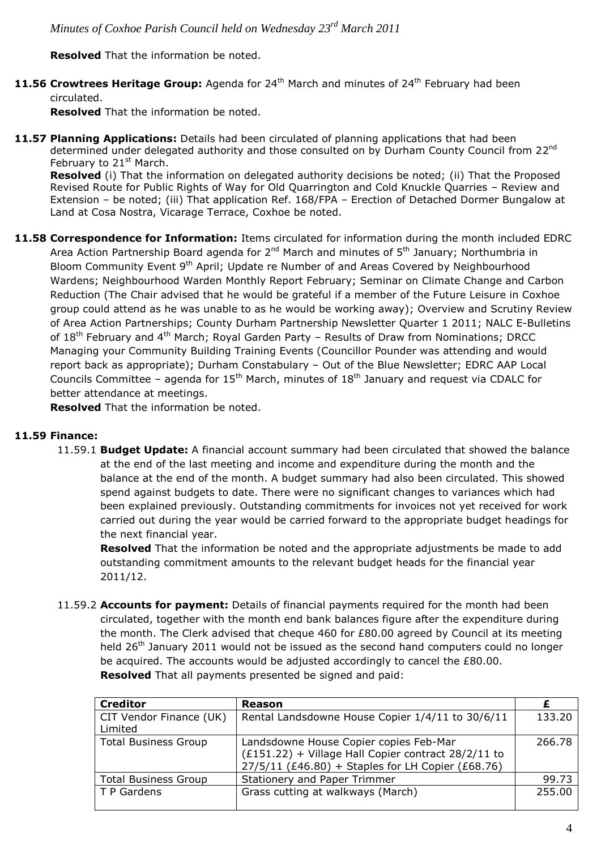**Resolved** That the information be noted.

**11.56 Crowtrees Heritage Group:** Agenda for 24<sup>th</sup> March and minutes of 24<sup>th</sup> February had been circulated.

**Resolved** That the information be noted.

**11.57 Planning Applications:** Details had been circulated of planning applications that had been determined under delegated authority and those consulted on by Durham County Council from 22<sup>nd</sup> February to  $21<sup>st</sup>$  March.

 **Resolved** (i) That the information on delegated authority decisions be noted; (ii) That the Proposed Revised Route for Public Rights of Way for Old Quarrington and Cold Knuckle Quarries – Review and Extension – be noted; (iii) That application Ref. 168/FPA – Erection of Detached Dormer Bungalow at Land at Cosa Nostra, Vicarage Terrace, Coxhoe be noted.

**11.58 Correspondence for Information:** Items circulated for information during the month included EDRC Area Action Partnership Board agenda for  $2^{nd}$  March and minutes of  $5^{th}$  January; Northumbria in Bloom Community Event 9<sup>th</sup> April; Update re Number of and Areas Covered by Neighbourhood Wardens; Neighbourhood Warden Monthly Report February; Seminar on Climate Change and Carbon Reduction (The Chair advised that he would be grateful if a member of the Future Leisure in Coxhoe group could attend as he was unable to as he would be working away); Overview and Scrutiny Review of Area Action Partnerships; County Durham Partnership Newsletter Quarter 1 2011; NALC E-Bulletins of  $18^{th}$  February and  $4^{th}$  March; Royal Garden Party - Results of Draw from Nominations; DRCC Managing your Community Building Training Events (Councillor Pounder was attending and would report back as appropriate); Durham Constabulary – Out of the Blue Newsletter; EDRC AAP Local Councils Committee – agenda for  $15<sup>th</sup>$  March, minutes of  $18<sup>th</sup>$  January and request via CDALC for better attendance at meetings.

**Resolved** That the information be noted.

# **11.59 Finance:**

11.59.1 **Budget Update:** A financial account summary had been circulated that showed the balance at the end of the last meeting and income and expenditure during the month and the balance at the end of the month. A budget summary had also been circulated. This showed spend against budgets to date. There were no significant changes to variances which had been explained previously. Outstanding commitments for invoices not yet received for work carried out during the year would be carried forward to the appropriate budget headings for the next financial year.

**Resolved** That the information be noted and the appropriate adjustments be made to add outstanding commitment amounts to the relevant budget heads for the financial year 2011/12.

11.59.2 **Accounts for payment:** Details of financial payments required for the month had been circulated, together with the month end bank balances figure after the expenditure during the month. The Clerk advised that cheque 460 for £80.00 agreed by Council at its meeting held 26<sup>th</sup> January 2011 would not be issued as the second hand computers could no longer be acquired. The accounts would be adjusted accordingly to cancel the £80.00. **Resolved** That all payments presented be signed and paid:

| <b>Creditor</b>                    | <b>Reason</b>                                                                                                                                        |        |
|------------------------------------|------------------------------------------------------------------------------------------------------------------------------------------------------|--------|
| CIT Vendor Finance (UK)<br>Limited | Rental Landsdowne House Copier 1/4/11 to 30/6/11                                                                                                     | 133.20 |
| <b>Total Business Group</b>        | Landsdowne House Copier copies Feb-Mar<br>(£151.22) + Village Hall Copier contract 28/2/11 to<br>$27/5/11$ (£46.80) + Staples for LH Copier (£68.76) | 266.78 |
| <b>Total Business Group</b>        | <b>Stationery and Paper Trimmer</b>                                                                                                                  | 99.73  |
| T P Gardens                        | Grass cutting at walkways (March)                                                                                                                    | 255.00 |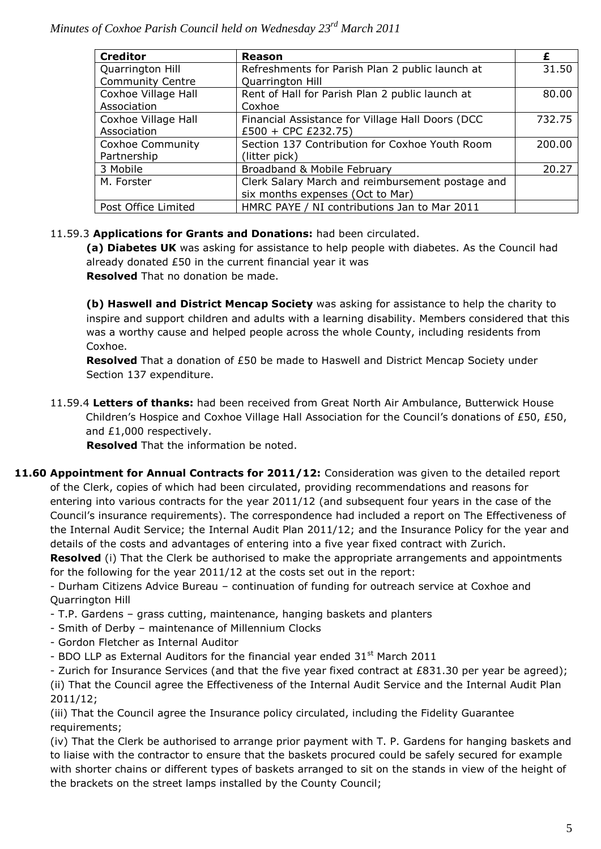| <b>Creditor</b>         | <b>Reason</b>                                    |        |
|-------------------------|--------------------------------------------------|--------|
| Quarrington Hill        | Refreshments for Parish Plan 2 public launch at  | 31.50  |
| <b>Community Centre</b> | Quarrington Hill                                 |        |
| Coxhoe Village Hall     | Rent of Hall for Parish Plan 2 public launch at  | 80.00  |
| Association             | Coxhoe                                           |        |
| Coxhoe Village Hall     | Financial Assistance for Village Hall Doors (DCC | 732.75 |
| Association             | £500 + CPC £232.75)                              |        |
| <b>Coxhoe Community</b> | Section 137 Contribution for Coxhoe Youth Room   | 200.00 |
| Partnership             | (litter pick)                                    |        |
| 3 Mobile                | Broadband & Mobile February                      | 20.27  |
| M. Forster              | Clerk Salary March and reimbursement postage and |        |
|                         | six months expenses (Oct to Mar)                 |        |
| Post Office Limited     | HMRC PAYE / NI contributions Jan to Mar 2011     |        |

# 11.59.3 **Applications for Grants and Donations:** had been circulated.

**(a) Diabetes UK** was asking for assistance to help people with diabetes. As the Council had already donated £50 in the current financial year it was **Resolved** That no donation be made.

**(b) Haswell and District Mencap Society** was asking for assistance to help the charity to inspire and support children and adults with a learning disability. Members considered that this was a worthy cause and helped people across the whole County, including residents from Coxhoe.

**Resolved** That a donation of £50 be made to Haswell and District Mencap Society under Section 137 expenditure.

11.59.4 **Letters of thanks:** had been received from Great North Air Ambulance, Butterwick House Children's Hospice and Coxhoe Village Hall Association for the Council's donations of £50, £50, and £1,000 respectively.

**Resolved** That the information be noted.

**11.60 Appointment for Annual Contracts for 2011/12:** Consideration was given to the detailed report of the Clerk, copies of which had been circulated, providing recommendations and reasons for entering into various contracts for the year 2011/12 (and subsequent four years in the case of the Council's insurance requirements). The correspondence had included a report on The Effectiveness of the Internal Audit Service; the Internal Audit Plan 2011/12; and the Insurance Policy for the year and details of the costs and advantages of entering into a five year fixed contract with Zurich.

**Resolved** (i) That the Clerk be authorised to make the appropriate arrangements and appointments for the following for the year 2011/12 at the costs set out in the report:

- Durham Citizens Advice Bureau – continuation of funding for outreach service at Coxhoe and Quarrington Hill

- T.P. Gardens grass cutting, maintenance, hanging baskets and planters
- Smith of Derby maintenance of Millennium Clocks
- Gordon Fletcher as Internal Auditor
- BDO LLP as External Auditors for the financial year ended  $31<sup>st</sup>$  March 2011

- Zurich for Insurance Services (and that the five year fixed contract at £831.30 per year be agreed); (ii) That the Council agree the Effectiveness of the Internal Audit Service and the Internal Audit Plan 2011/12;

(iii) That the Council agree the Insurance policy circulated, including the Fidelity Guarantee requirements;

(iv) That the Clerk be authorised to arrange prior payment with T. P. Gardens for hanging baskets and to liaise with the contractor to ensure that the baskets procured could be safely secured for example with shorter chains or different types of baskets arranged to sit on the stands in view of the height of the brackets on the street lamps installed by the County Council;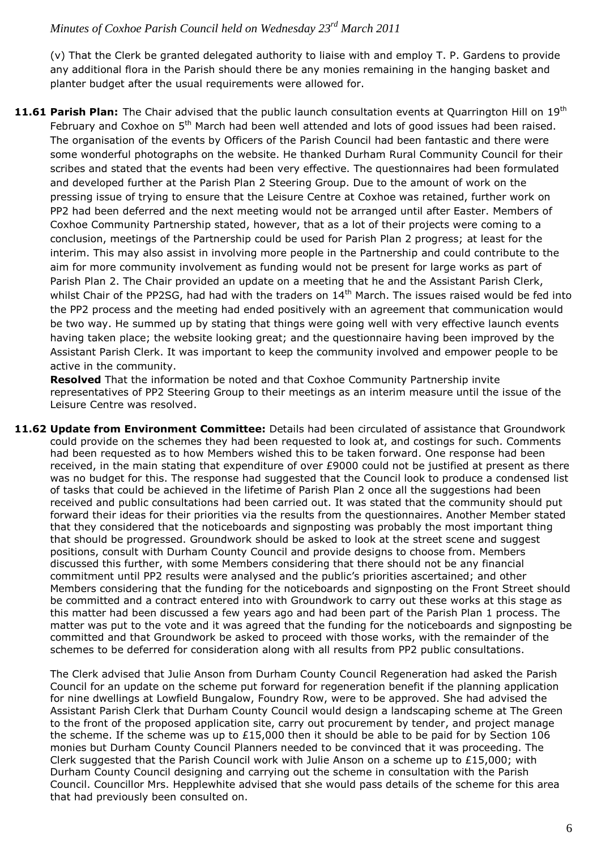(v) That the Clerk be granted delegated authority to liaise with and employ T. P. Gardens to provide any additional flora in the Parish should there be any monies remaining in the hanging basket and planter budget after the usual requirements were allowed for.

**11.61 Parish Plan:** The Chair advised that the public launch consultation events at Quarrington Hill on 19th February and Coxhoe on 5<sup>th</sup> March had been well attended and lots of good issues had been raised. The organisation of the events by Officers of the Parish Council had been fantastic and there were some wonderful photographs on the website. He thanked Durham Rural Community Council for their scribes and stated that the events had been very effective. The questionnaires had been formulated and developed further at the Parish Plan 2 Steering Group. Due to the amount of work on the pressing issue of trying to ensure that the Leisure Centre at Coxhoe was retained, further work on PP2 had been deferred and the next meeting would not be arranged until after Easter. Members of Coxhoe Community Partnership stated, however, that as a lot of their projects were coming to a conclusion, meetings of the Partnership could be used for Parish Plan 2 progress; at least for the interim. This may also assist in involving more people in the Partnership and could contribute to the aim for more community involvement as funding would not be present for large works as part of Parish Plan 2. The Chair provided an update on a meeting that he and the Assistant Parish Clerk, whilst Chair of the PP2SG, had had with the traders on 14<sup>th</sup> March. The issues raised would be fed into the PP2 process and the meeting had ended positively with an agreement that communication would be two way. He summed up by stating that things were going well with very effective launch events having taken place; the website looking great; and the questionnaire having been improved by the Assistant Parish Clerk. It was important to keep the community involved and empower people to be active in the community.

**Resolved** That the information be noted and that Coxhoe Community Partnership invite representatives of PP2 Steering Group to their meetings as an interim measure until the issue of the Leisure Centre was resolved.

**11.62 Update from Environment Committee:** Details had been circulated of assistance that Groundwork could provide on the schemes they had been requested to look at, and costings for such. Comments had been requested as to how Members wished this to be taken forward. One response had been received, in the main stating that expenditure of over £9000 could not be justified at present as there was no budget for this. The response had suggested that the Council look to produce a condensed list of tasks that could be achieved in the lifetime of Parish Plan 2 once all the suggestions had been received and public consultations had been carried out. It was stated that the community should put forward their ideas for their priorities via the results from the questionnaires. Another Member stated that they considered that the noticeboards and signposting was probably the most important thing that should be progressed. Groundwork should be asked to look at the street scene and suggest positions, consult with Durham County Council and provide designs to choose from. Members discussed this further, with some Members considering that there should not be any financial commitment until PP2 results were analysed and the public's priorities ascertained; and other Members considering that the funding for the noticeboards and signposting on the Front Street should be committed and a contract entered into with Groundwork to carry out these works at this stage as this matter had been discussed a few years ago and had been part of the Parish Plan 1 process. The matter was put to the vote and it was agreed that the funding for the noticeboards and signposting be committed and that Groundwork be asked to proceed with those works, with the remainder of the schemes to be deferred for consideration along with all results from PP2 public consultations.

The Clerk advised that Julie Anson from Durham County Council Regeneration had asked the Parish Council for an update on the scheme put forward for regeneration benefit if the planning application for nine dwellings at Lowfield Bungalow, Foundry Row, were to be approved. She had advised the Assistant Parish Clerk that Durham County Council would design a landscaping scheme at The Green to the front of the proposed application site, carry out procurement by tender, and project manage the scheme. If the scheme was up to  $£15,000$  then it should be able to be paid for by Section 106 monies but Durham County Council Planners needed to be convinced that it was proceeding. The Clerk suggested that the Parish Council work with Julie Anson on a scheme up to £15,000; with Durham County Council designing and carrying out the scheme in consultation with the Parish Council. Councillor Mrs. Hepplewhite advised that she would pass details of the scheme for this area that had previously been consulted on.